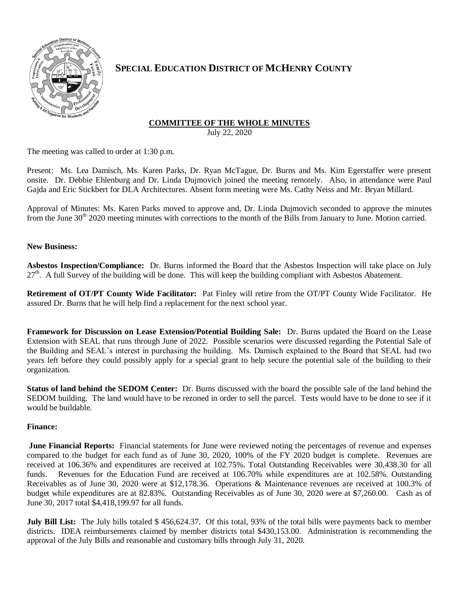

## **SPECIAL EDUCATION DISTRICT OF MCHENRY COUNTY**

# **COMMITTEE OF THE WHOLE MINUTES**

July 22, 2020

The meeting was called to order at 1:30 p.m.

Present: Ms. Lea Damisch, Ms. Karen Parks, Dr. Ryan McTague, Dr. Burns and Ms. Kim Egerstaffer were present onsite. Dr. Debbie Ehlenburg and Dr. Linda Dujmovich joined the meeting remotely. Also, in attendance were Paul Gajda and Eric Stickbert for DLA Architectures. Absent form meeting were Ms. Cathy Neiss and Mr. Bryan Millard.

Approval of Minutes: Ms. Karen Parks moved to approve and, Dr. Linda Dujmovich seconded to approve the minutes from the June 30<sup>th</sup> 2020 meeting minutes with corrections to the month of the Bills from January to June. Motion carried.

#### **New Business:**

**Asbestos Inspection/Compliance:** Dr. Burns informed the Board that the Asbestos Inspection will take place on July  $27<sup>th</sup>$ . A full Survey of the building will be done. This will keep the building compliant with Asbestos Abatement.

**Retirement of OT/PT County Wide Facilitator:** Pat Finley will retire from the OT/PT County Wide Facilitator. He assured Dr. Burns that he will help find a replacement for the next school year.

**Framework for Discussion on Lease Extension/Potential Building Sale:** Dr. Burns updated the Board on the Lease Extension with SEAL that runs through June of 2022. Possible scenarios were discussed regarding the Potential Sale of the Building and SEAL's interest in purchasing the building. Ms. Damisch explained to the Board that SEAL had two years left before they could possibly apply for a special grant to help secure the potential sale of the building to their organization.

**Status of land behind the SEDOM Center:** Dr. Burns discussed with the board the possible sale of the land behind the SEDOM building. The land would have to be rezoned in order to sell the parcel. Tests would have to be done to see if it would be buildable.

### **Finance:**

**June Financial Reports:** Financial statements for June were reviewed noting the percentages of revenue and expenses compared to the budget for each fund as of June 30, 2020, 100% of the FY 2020 budget is complete. Revenues are received at 106.36% and expenditures are received at 102.75%. Total Outstanding Receivables were 30,438.30 for all funds. Revenues for the Education Fund are received at 106.70% while expenditures are at 102.58%. Outstanding Receivables as of June 30, 2020 were at \$12,178.36. Operations & Maintenance revenues are received at 100.3% of budget while expenditures are at 82.83%. Outstanding Receivables as of June 30, 2020 were at \$7,260.00. Cash as of June 30, 2017 total \$4,418,199.97 for all funds.

**July Bill List:** The July bills totaled \$456,624.37. Of this total, 93% of the total bills were payments back to member districts. IDEA reimbursements claimed by member districts total \$430,153.00. Administration is recommending the approval of the July Bills and reasonable and customary bills through July 31, 2020.